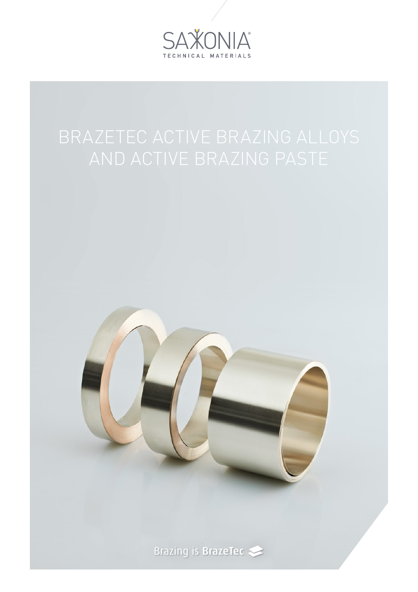



Brazing is BrazeTec